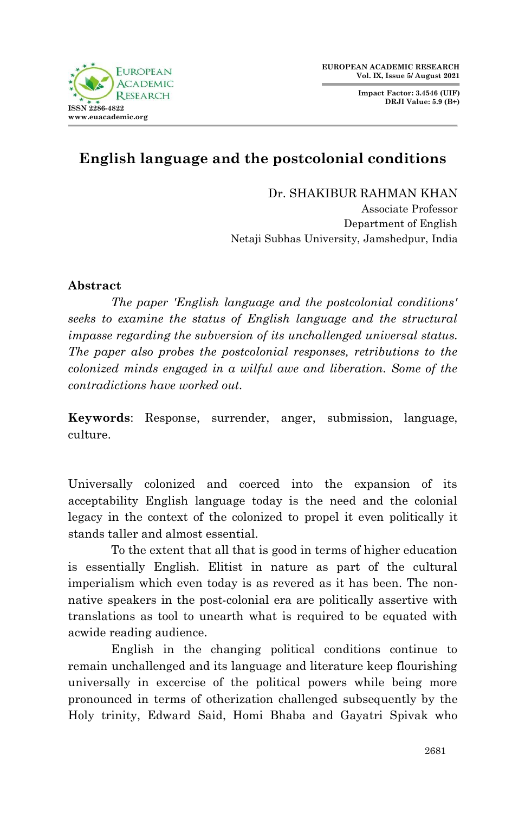

**Impact Factor: 3.4546 (UIF) DRJI Value: 5.9 (B+)**



## **English language and the postcolonial conditions**

Dr. SHAKIBUR RAHMAN KHAN Associate Professor Department of English Netaji Subhas University, Jamshedpur, India

## **Abstract**

*The paper 'English language and the postcolonial conditions' seeks to examine the status of English language and the structural impasse regarding the subversion of its unchallenged universal status. The paper also probes the postcolonial responses, retributions to the colonized minds engaged in a wilful awe and liberation. Some of the contradictions have worked out.*

**Keywords**: Response, surrender, anger, submission, language, culture.

Universally colonized and coerced into the expansion of its acceptability English language today is the need and the colonial legacy in the context of the colonized to propel it even politically it stands taller and almost essential.

To the extent that all that is good in terms of higher education is essentially English. Elitist in nature as part of the cultural imperialism which even today is as revered as it has been. The nonnative speakers in the post-colonial era are politically assertive with translations as tool to unearth what is required to be equated with acwide reading audience.

English in the changing political conditions continue to remain unchallenged and its language and literature keep flourishing universally in excercise of the political powers while being more pronounced in terms of otherization challenged subsequently by the Holy trinity, Edward Said, Homi Bhaba and Gayatri Spivak who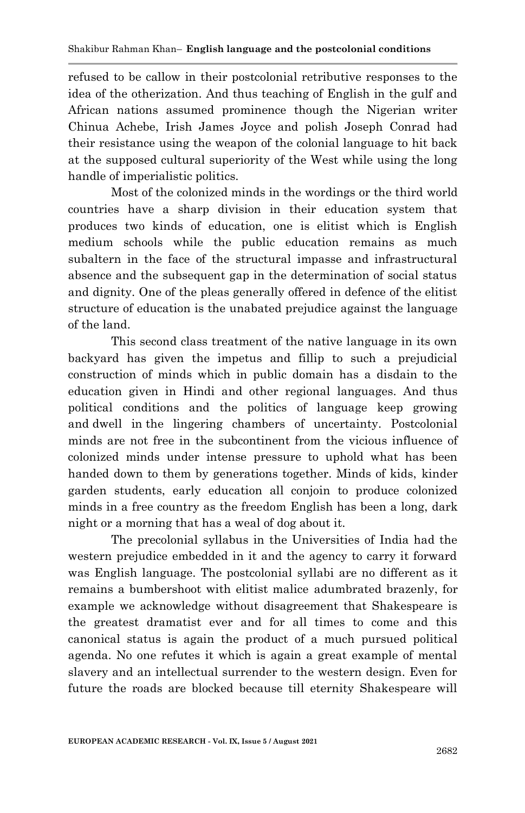refused to be callow in their postcolonial retributive responses to the idea of the otherization. And thus teaching of English in the gulf and African nations assumed prominence though the Nigerian writer Chinua Achebe, Irish James Joyce and polish Joseph Conrad had their resistance using the weapon of the colonial language to hit back at the supposed cultural superiority of the West while using the long handle of imperialistic politics.

Most of the colonized minds in the wordings or the third world countries have a sharp division in their education system that produces two kinds of education, one is elitist which is English medium schools while the public education remains as much subaltern in the face of the structural impasse and infrastructural absence and the subsequent gap in the determination of social status and dignity. One of the pleas generally offered in defence of the elitist structure of education is the unabated prejudice against the language of the land.

This second class treatment of the native language in its own backyard has given the impetus and fillip to such a prejudicial construction of minds which in public domain has a disdain to the education given in Hindi and other regional languages. And thus political conditions and the politics of language keep growing and dwell in the lingering chambers of uncertainty. Postcolonial minds are not free in the subcontinent from the vicious influence of colonized minds under intense pressure to uphold what has been handed down to them by generations together. Minds of kids, kinder garden students, early education all conjoin to produce colonized minds in a free country as the freedom English has been a long, dark night or a morning that has a weal of dog about it.

The precolonial syllabus in the Universities of India had the western prejudice embedded in it and the agency to carry it forward was English language. The postcolonial syllabi are no different as it remains a bumbershoot with elitist malice adumbrated brazenly, for example we acknowledge without disagreement that Shakespeare is the greatest dramatist ever and for all times to come and this canonical status is again the product of a much pursued political agenda. No one refutes it which is again a great example of mental slavery and an intellectual surrender to the western design. Even for future the roads are blocked because till eternity Shakespeare will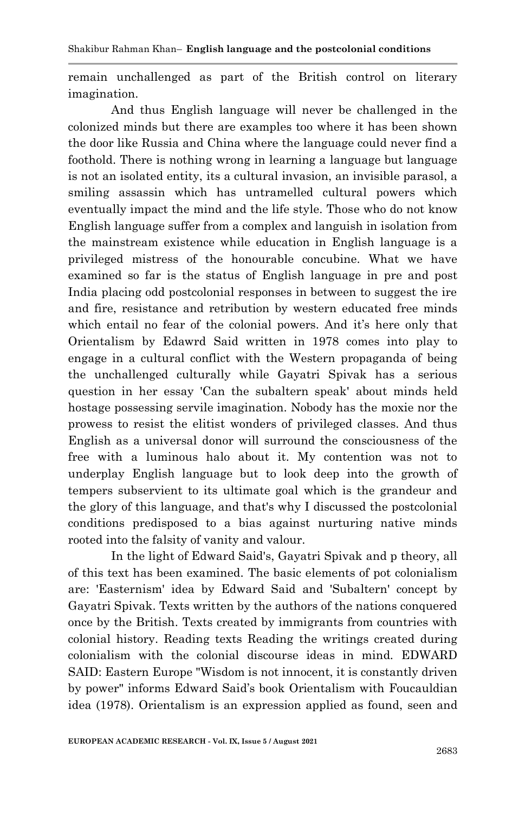remain unchallenged as part of the British control on literary imagination.

And thus English language will never be challenged in the colonized minds but there are examples too where it has been shown the door like Russia and China where the language could never find a foothold. There is nothing wrong in learning a language but language is not an isolated entity, its a cultural invasion, an invisible parasol, a smiling assassin which has untramelled cultural powers which eventually impact the mind and the life style. Those who do not know English language suffer from a complex and languish in isolation from the mainstream existence while education in English language is a privileged mistress of the honourable concubine. What we have examined so far is the status of English language in pre and post India placing odd postcolonial responses in between to suggest the ire and fire, resistance and retribution by western educated free minds which entail no fear of the colonial powers. And it's here only that Orientalism by Edawrd Said written in 1978 comes into play to engage in a cultural conflict with the Western propaganda of being the unchallenged culturally while Gayatri Spivak has a serious question in her essay 'Can the subaltern speak' about minds held hostage possessing servile imagination. Nobody has the moxie nor the prowess to resist the elitist wonders of privileged classes. And thus English as a universal donor will surround the consciousness of the free with a luminous halo about it. My contention was not to underplay English language but to look deep into the growth of tempers subservient to its ultimate goal which is the grandeur and the glory of this language, and that's why I discussed the postcolonial conditions predisposed to a bias against nurturing native minds rooted into the falsity of vanity and valour.

In the light of Edward Said's, Gayatri Spivak and p theory, all of this text has been examined. The basic elements of pot colonialism are: 'Easternism' idea by Edward Said and 'Subaltern' concept by Gayatri Spivak. Texts written by the authors of the nations conquered once by the British. Texts created by immigrants from countries with colonial history. Reading texts Reading the writings created during colonialism with the colonial discourse ideas in mind. EDWARD SAID: Eastern Europe "Wisdom is not innocent, it is constantly driven by power" informs Edward Said's book Orientalism with Foucauldian idea (1978). Orientalism is an expression applied as found, seen and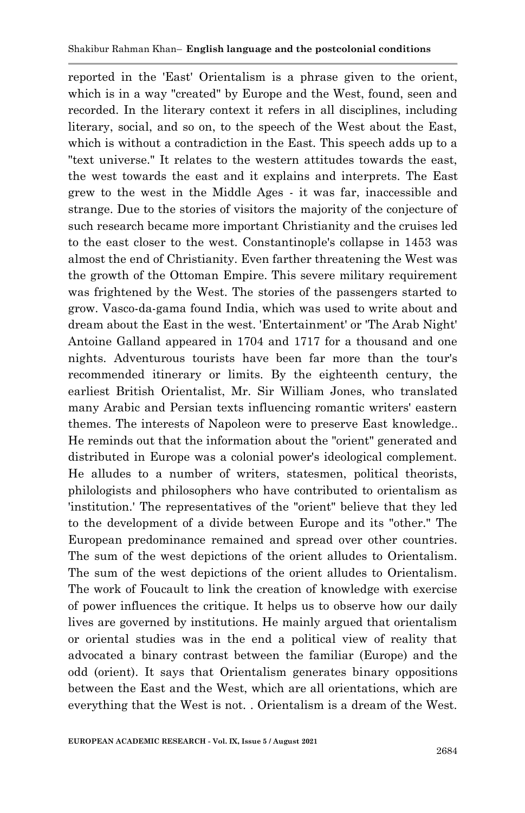reported in the 'East' Orientalism is a phrase given to the orient, which is in a way "created" by Europe and the West, found, seen and recorded. In the literary context it refers in all disciplines, including literary, social, and so on, to the speech of the West about the East, which is without a contradiction in the East. This speech adds up to a "text universe." It relates to the western attitudes towards the east, the west towards the east and it explains and interprets. The East grew to the west in the Middle Ages - it was far, inaccessible and strange. Due to the stories of visitors the majority of the conjecture of such research became more important Christianity and the cruises led to the east closer to the west. Constantinople's collapse in 1453 was almost the end of Christianity. Even farther threatening the West was the growth of the Ottoman Empire. This severe military requirement was frightened by the West. The stories of the passengers started to grow. Vasco-da-gama found India, which was used to write about and dream about the East in the west. 'Entertainment' or 'The Arab Night' Antoine Galland appeared in 1704 and 1717 for a thousand and one nights. Adventurous tourists have been far more than the tour's recommended itinerary or limits. By the eighteenth century, the earliest British Orientalist, Mr. Sir William Jones, who translated many Arabic and Persian texts influencing romantic writers' eastern themes. The interests of Napoleon were to preserve East knowledge.. He reminds out that the information about the "orient" generated and distributed in Europe was a colonial power's ideological complement. He alludes to a number of writers, statesmen, political theorists, philologists and philosophers who have contributed to orientalism as 'institution.' The representatives of the "orient" believe that they led to the development of a divide between Europe and its "other." The European predominance remained and spread over other countries. The sum of the west depictions of the orient alludes to Orientalism. The sum of the west depictions of the orient alludes to Orientalism. The work of Foucault to link the creation of knowledge with exercise of power influences the critique. It helps us to observe how our daily lives are governed by institutions. He mainly argued that orientalism or oriental studies was in the end a political view of reality that advocated a binary contrast between the familiar (Europe) and the odd (orient). It says that Orientalism generates binary oppositions between the East and the West, which are all orientations, which are everything that the West is not. . Orientalism is a dream of the West.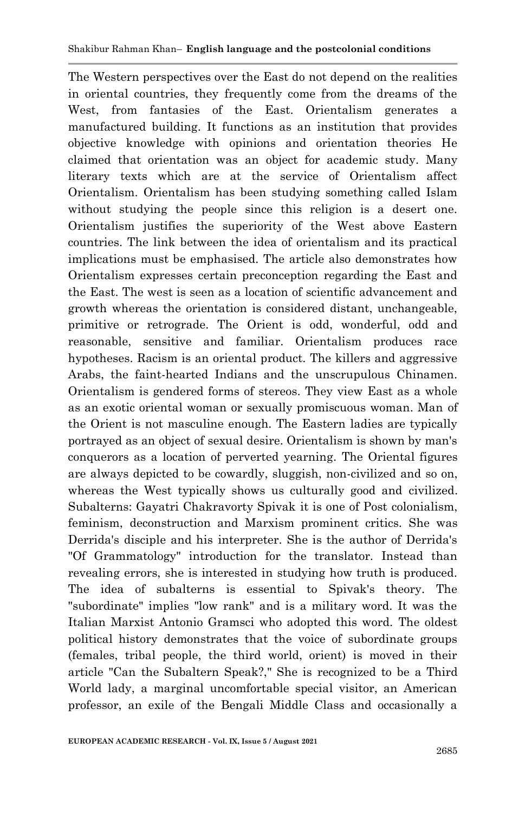The Western perspectives over the East do not depend on the realities in oriental countries, they frequently come from the dreams of the West, from fantasies of the East. Orientalism generates a manufactured building. It functions as an institution that provides objective knowledge with opinions and orientation theories He claimed that orientation was an object for academic study. Many literary texts which are at the service of Orientalism affect Orientalism. Orientalism has been studying something called Islam without studying the people since this religion is a desert one. Orientalism justifies the superiority of the West above Eastern countries. The link between the idea of orientalism and its practical implications must be emphasised. The article also demonstrates how Orientalism expresses certain preconception regarding the East and the East. The west is seen as a location of scientific advancement and growth whereas the orientation is considered distant, unchangeable, primitive or retrograde. The Orient is odd, wonderful, odd and reasonable, sensitive and familiar. Orientalism produces race hypotheses. Racism is an oriental product. The killers and aggressive Arabs, the faint-hearted Indians and the unscrupulous Chinamen. Orientalism is gendered forms of stereos. They view East as a whole as an exotic oriental woman or sexually promiscuous woman. Man of the Orient is not masculine enough. The Eastern ladies are typically portrayed as an object of sexual desire. Orientalism is shown by man's conquerors as a location of perverted yearning. The Oriental figures are always depicted to be cowardly, sluggish, non-civilized and so on, whereas the West typically shows us culturally good and civilized. Subalterns: Gayatri Chakravorty Spivak it is one of Post colonialism, feminism, deconstruction and Marxism prominent critics. She was Derrida's disciple and his interpreter. She is the author of Derrida's "Of Grammatology" introduction for the translator. Instead than revealing errors, she is interested in studying how truth is produced. The idea of subalterns is essential to Spivak's theory. The "subordinate" implies "low rank" and is a military word. It was the Italian Marxist Antonio Gramsci who adopted this word. The oldest political history demonstrates that the voice of subordinate groups (females, tribal people, the third world, orient) is moved in their article "Can the Subaltern Speak?," She is recognized to be a Third World lady, a marginal uncomfortable special visitor, an American professor, an exile of the Bengali Middle Class and occasionally a